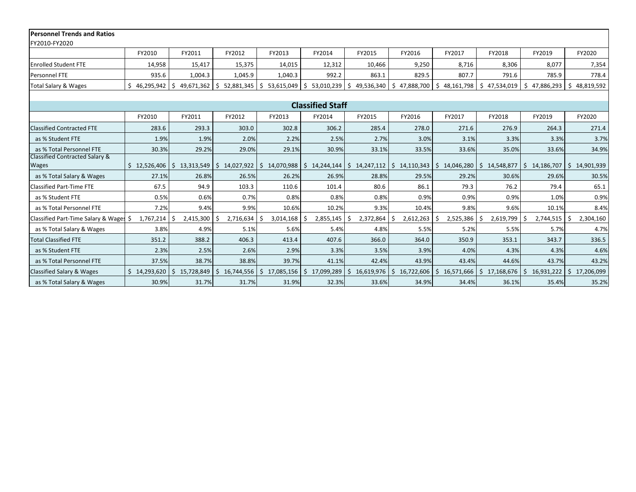| <b>Personnel Trends and Ratios</b>        |              |                  |                              |                    |                  |                        |                                                                                           |                  |                            |                  |                  |  |  |  |
|-------------------------------------------|--------------|------------------|------------------------------|--------------------|------------------|------------------------|-------------------------------------------------------------------------------------------|------------------|----------------------------|------------------|------------------|--|--|--|
| FY2010-FY2020                             |              |                  |                              |                    |                  |                        |                                                                                           |                  |                            |                  |                  |  |  |  |
|                                           | FY2010       | FY2011           | FY2012                       | FY2013             | FY2014           | FY2015                 | FY2016                                                                                    | FY2017           | FY2018                     | FY2019           | FY2020           |  |  |  |
| <b>Enrolled Student FTE</b>               | 14,958       | 15,417           |                              | 14,015             | 12,312           | 10,466                 | 9,250                                                                                     | 8,716            | 8,306                      | 8,077            | 7,354            |  |  |  |
| Personnel FTE                             | 935.6        | 1,004.3          | 1,045.9                      | 1,040.3            | 992.2            | 863.1                  | 829.5                                                                                     | 807.7            | 791.6                      | 785.9            | 778.4            |  |  |  |
| Total Salary & Wages                      | 46,295,942   | Ŝ.<br>49,671,362 | S.<br>52,881,345             | \$<br>53,615,049   | \$<br>53,010,239 | $\pm$ \$<br>49,536,340 | \$47,888,700                                                                              | \$<br>48,161,798 | \$47,534,019               | 47,886,293<br>Ś. | 48,819,592<br>Ŝ. |  |  |  |
|                                           |              |                  |                              |                    |                  |                        |                                                                                           |                  |                            |                  |                  |  |  |  |
| <b>Classified Staff</b>                   |              |                  |                              |                    |                  |                        |                                                                                           |                  |                            |                  |                  |  |  |  |
|                                           | FY2010       | FY2011           | FY2012                       | FY2013             | FY2014           | FY2015                 | FY2016                                                                                    | FY2017           | FY2018                     | FY2019           | FY2020           |  |  |  |
| <b>Classified Contracted FTE</b>          | 283.6        | 293.3            | 303.0                        | 302.8              | 306.2            | 285.4                  | 278.0                                                                                     | 271.6            | 276.9                      | 264.3            | 271.4            |  |  |  |
| as % Student FTE                          | 1.9%         | 1.9%             | 2.0%                         | 2.2%               | 2.5%             | 2.7%                   | 3.0%                                                                                      | 3.1%             | 3.3%                       | 3.3%             | 3.7%             |  |  |  |
| as % Total Personnel FTE                  | 30.3%        | 29.2%            | 29.0%                        | 29.1%              | 30.9%            | 33.1%                  | 33.5%                                                                                     | 33.6%            | 35.0%                      | 33.6%            | 34.9%            |  |  |  |
| <b>Classified Contracted Salary &amp;</b> |              |                  |                              |                    |                  |                        |                                                                                           |                  |                            |                  |                  |  |  |  |
| <b>Wages</b>                              | 12,526,406   | S.               | $13,313,549$ \$ $14,027,922$ | $$14,070,988$ $$5$ |                  |                        | $14,244,144$   \$ $14,247,112$   \$ $14,110,343$   \$ $14,046,280$   \$ $14,548,877$   \$ |                  |                            | 14,186,707       | 14,901,939<br>Ŝ. |  |  |  |
| as % Total Salary & Wages                 | 27.1%        | 26.8%            | 26.5%                        | 26.2%              | 26.9%            | 28.8%                  | 29.5%                                                                                     | 29.2%            | 30.6%                      | 29.6%            | 30.5%            |  |  |  |
| <b>Classified Part-Time FTE</b>           | 67.5         | 94.9             | 103.3                        | 110.6              | 101.4            | 80.6                   | 86.1                                                                                      | 79.3             | 76.2                       | 79.4             | 65.1             |  |  |  |
| as % Student FTE                          | 0.5%         | 0.6%             | 0.7%                         | 0.8%               | 0.8%             | 0.8%                   | 0.9%                                                                                      | 0.9%             | 0.9%                       | 1.0%             | 0.9%             |  |  |  |
| as % Total Personnel FTE                  | 7.2%         | 9.4%             | 9.9%                         | 10.6%              | 10.2%            | 9.3%                   | 10.4%                                                                                     | 9.8%             | 9.6%                       | 10.1%            | 8.4%             |  |  |  |
| Classified Part-Time Salary & Wages \$    | 1,767,214    | $2,415,300$ \$   | 2,716,634                    | 3,014,168          | 2,855,145        | l\$<br>2,372,864       | 2,612,263                                                                                 | 2,525,386<br>-S  | 2,619,799<br>-\$           | 2,744,515        | 2,304,160<br>.\$ |  |  |  |
| as % Total Salary & Wages                 | 3.8%         | 4.9%             | 5.1%                         | 5.6%               | 5.4%             | 4.8%                   | 5.5%                                                                                      | 5.2%             | 5.5%                       | 5.7%             | 4.7%             |  |  |  |
| <b>Total Classified FTE</b>               | 351.2        | 388.2            | 406.3                        | 413.4              | 407.6            | 366.0                  | 364.0                                                                                     | 350.9            | 353.1                      | 343.7            | 336.5            |  |  |  |
| as % Student FTE                          | 2.3%         | 2.5%             | 2.6%                         | 2.9%               | 3.3%             | 3.5%                   | 3.9%                                                                                      | 4.0%             | 4.3%                       | 4.3%             | 4.6%             |  |  |  |
| as % Total Personnel FTE                  | 37.5%        | 38.7%            | 38.8%                        | 39.7%              | 41.1%            | 42.4%                  | 43.9%                                                                                     | 43.4%            | 44.6%                      | 43.7%            | 43.2%            |  |  |  |
| <b>Classified Salary &amp; Wages</b>      | \$14,293,620 | Ŝ.<br>15,728,849 | 16,744,556<br>\$             | 17,085,156<br>Ŝ.   | Ŝ.<br>17,099,289 | \$16,619,976           | Ŝ.<br>16,722,606                                                                          | Ŝ.<br>16,571,666 | $\mathsf{S}$<br>17,168,676 | 16,931,222<br>-Ŝ | Ŝ.<br>17,206,099 |  |  |  |
| as % Total Salary & Wages                 | 30.9%        | 31.7%            | 31.7%                        | 31.9%              | 32.3%            | 33.6%                  | 34.9%                                                                                     | 34.4%            | 36.1%                      | 35.4%            | 35.2%            |  |  |  |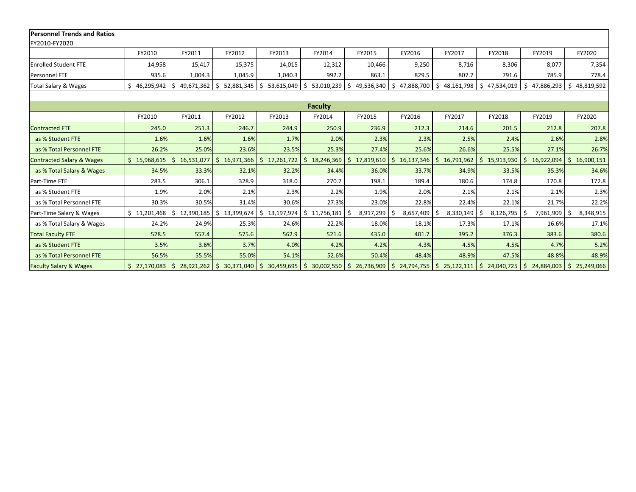| <b>Personnel Trends and Ratios</b>   |              |                       |                    |                       |                  |                            |                          |                            |                          |                          |                            |  |  |
|--------------------------------------|--------------|-----------------------|--------------------|-----------------------|------------------|----------------------------|--------------------------|----------------------------|--------------------------|--------------------------|----------------------------|--|--|
| FY2010-FY2020                        |              |                       |                    |                       |                  |                            |                          |                            |                          |                          |                            |  |  |
|                                      | FY2010       | FY2011                | FY2012             | FY2013                | FY2014           | FY2015                     | FY2016                   | FY2017                     | FY2018                   | FY2019                   | FY2020                     |  |  |
| <b>Enrolled Student FTE</b>          | 14,958       | 15,417                | 15,375             | 14,015                | 12,312           | 10,466                     | 9,250                    | 8,716                      | 8,306                    | 8,077                    | 7,354                      |  |  |
| Personnel FTE                        | 935.6        | 1,004.3               | 1,045.9            | 1,040.3               | 992.2            | 863.1                      | 829.5                    | 807.7                      | 791.6                    | 785.9                    | 778.4                      |  |  |
| Total Salary & Wages                 | 46,295,942   | Ŝ.<br>49,671,362      | l \$<br>52,881,345 | Ŝ.<br>53,615,049      | \$<br>53,010,239 | \$49,536,340               | Ś.<br>47,888,700         | Ŝ.<br>48,161,798           | \$47,534,019             | 47,886,293<br>Ś          | 48,819,592<br>Ŝ.           |  |  |
|                                      |              |                       |                    |                       |                  |                            |                          |                            |                          |                          |                            |  |  |
| <b>Faculty</b>                       |              |                       |                    |                       |                  |                            |                          |                            |                          |                          |                            |  |  |
|                                      | FY2010       | FY2011                | FY2012             | FY2013                | FY2014           | FY2015                     | FY2016                   | FY2017                     | FY2018                   | FY2019                   | FY2020                     |  |  |
| <b>Contracted FTE</b>                | 245.0        | 251.3                 | 246.7              | 244.9                 | 250.9            | 236.9                      | 212.3                    | 214.6                      | 201.5                    | 212.8                    | 207.8                      |  |  |
| as % Student FTE                     | 1.6%         | 1.6%                  | 1.6%               | 1.7%                  | 2.0%             | 2.3%                       | 2.3%                     | 2.5%                       | 2.4%                     | 2.6%                     | 2.8%                       |  |  |
| as % Total Personnel FTE             | 26.2%        | 25.0%                 | 23.6%              | 23.5%                 | 25.3%            | 27.4%                      | 25.6%                    | 26.6%                      | 25.5%                    | 27.1%                    | 26.7%                      |  |  |
| <b>Contracted Salary &amp; Wages</b> | \$15,968,615 | 16,531,077<br>Ŝ.      | Ŝ.<br>16,971,366   | Ŝ.<br>17,261,722      | Ŝ.<br>18,246,369 | \$17,819,610               | Ŝ.<br>16,137,346         | Ŝ.<br>16,791,962           | S.<br>15,913,930         | 16,922,094               | Ŝ.<br>16,900,151           |  |  |
| as % Total Salary & Wages            | 34.5%        | 33.3%                 | 32.1%              | 32.2%                 | 34.4%            | 36.0%                      | 33.7%                    | 34.9%                      | 33.5%                    | 35.3%                    | 34.6%                      |  |  |
| Part-Time FTE                        | 283.5        | 306.1                 | 328.9              | 318.0                 | 270.7            | 198.1                      | 189.4                    | 180.6                      | 174.8                    | 170.8                    | 172.8                      |  |  |
| as % Student FTE                     | 1.9%         | 2.0%                  | 2.1%               | 2.3%                  | 2.2%             | 1.9%                       | 2.0%                     | 2.1%                       | 2.1%                     | 2.1%                     | 2.3%                       |  |  |
| as % Total Personnel FTE             | 30.3%        | 30.5%                 | 31.4%              | 30.6%                 | 27.3%            | 23.0%                      | 22.8%                    | 22.4%                      | 22.1%                    | 21.7%                    | 22.2%                      |  |  |
| Part-Time Salary & Wages             | \$11,201,468 | 12,390,185<br>Ś.      | 13,399,674         | Ŝ.<br>13,197,974      | 11,756,181<br>Ŝ. | Ŝ.<br>8,917,299            | 8,657,409                | 8,330,149                  | 8,126,795                | 7,961,909                | 8,348,915                  |  |  |
| as % Total Salary & Wages            | 24.2%        | 24.9%                 | 25.3%              | 24.6%                 | 22.2%            | 18.0%                      | 18.1%                    | 17.3%                      | 17.1%                    | 16.6%                    | 17.1%                      |  |  |
| <b>Total Faculty FTE</b>             | 528.5        | 557.4                 | 575.6              | 562.9                 | 521.6            | 435.0                      | 401.7                    | 395.2                      | 376.3                    | 383.6                    | 380.6                      |  |  |
| as % Student FTE                     | 3.5%         | 3.6%                  | 3.7%               | 4.0%                  | 4.2%             | 4.2%                       | 4.3%                     | 4.5%                       | 4.5%                     | 4.7%                     | 5.2%                       |  |  |
| as % Total Personnel FTE             | 56.5%        | 55.5%                 | 55.0%              | 54.1%                 | 52.6%            | 50.4%                      | 48.4%                    | 48.9%                      | 47.5%                    | 48.8%                    | 48.9%                      |  |  |
| <b>Faculty Salary &amp; Wages</b>    | \$27,170,083 | \$<br>$28,921,262$ \$ | 30,371,040         | \$<br>$30,459,695$ \$ |                  | $30,002,550$ \$ 26,736,909 | $\sqrt{5}$<br>24,794,755 | $\mathsf{S}$<br>25,122,111 | $\vert$ \$<br>24,040,725 | 24,884,003<br>$\sqrt{5}$ | $\mathsf{S}$<br>25,249,066 |  |  |